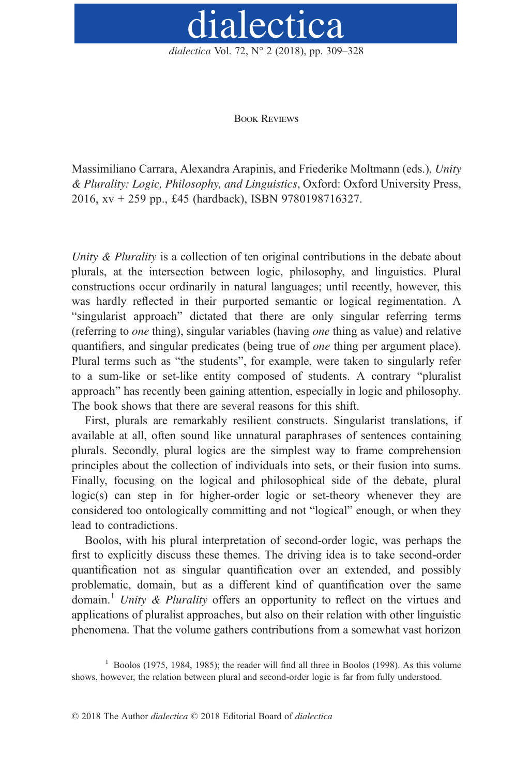

**BOOK REVIEWS** 

Massimiliano Carrara, Alexandra Arapinis, and Friederike Moltmann (eds.), *Unity & Plurality: Logic, Philosophy, and Linguistics*, Oxford: Oxford University Press, 2016, xv + 259 pp., £45 (hardback), ISBN [9780198716327.](https://doi.org/info:x-wiley/isbn/9780198716327)

*Unity & Plurality* is a collection of ten original contributions in the debate about plurals, at the intersection between logic, philosophy, and linguistics. Plural constructions occur ordinarily in natural languages; until recently, however, this was hardly reflected in their purported semantic or logical regimentation. A "singularist approach" dictated that there are only singular referring terms (referring to *one* thing), singular variables (having *one* thing as value) and relative quantifiers, and singular predicates (being true of *one* thing per argument place). Plural terms such as "the students", for example, were taken to singularly refer to a sum-like or set-like entity composed of students. A contrary "pluralist approach" has recently been gaining attention, especially in logic and philosophy. The book shows that there are several reasons for this shift.

First, plurals are remarkably resilient constructs. Singularist translations, if available at all, often sound like unnatural paraphrases of sentences containing plurals. Secondly, plural logics are the simplest way to frame comprehension principles about the collection of individuals into sets, or their fusion into sums. Finally, focusing on the logical and philosophical side of the debate, plural logic(s) can step in for higher-order logic or set-theory whenever they are considered too ontologically committing and not "logical" enough, or when they lead to contradictions.

Boolos, with his plural interpretation of second-order logic, was perhaps the first to explicitly discuss these themes. The driving idea is to take second-order quantification not as singular quantification over an extended, and possibly problematic, domain, but as a different kind of quantification over the same domain.<sup>1</sup> *Unity & Plurality* offers an opportunity to reflect on the virtues and applications of pluralist approaches, but also on their relation with other linguistic phenomena. That the volume gathers contributions from a somewhat vast horizon

 $1$  Boolos (1975, 1984, 1985); the reader will find all three in Boolos (1998). As this volume shows, however, the relation between plural and second-order logic is far from fully understood.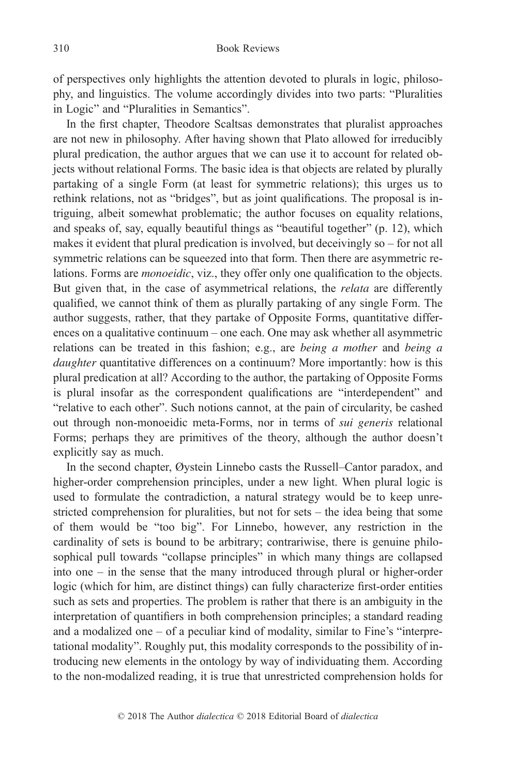of perspectives only highlights the attention devoted to plurals in logic, philosophy, and linguistics. The volume accordingly divides into two parts: "Pluralities in Logic" and "Pluralities in Semantics".

In the first chapter, Theodore Scaltsas demonstrates that pluralist approaches are not new in philosophy. After having shown that Plato allowed for irreducibly plural predication, the author argues that we can use it to account for related objects without relational Forms. The basic idea is that objects are related by plurally partaking of a single Form (at least for symmetric relations); this urges us to rethink relations, not as "bridges", but as joint qualifications. The proposal is intriguing, albeit somewhat problematic; the author focuses on equality relations, and speaks of, say, equally beautiful things as "beautiful together" (p. 12), which makes it evident that plural predication is involved, but deceivingly so – for not all symmetric relations can be squeezed into that form. Then there are asymmetric relations. Forms are *monoeidic*, viz., they offer only one qualification to the objects. But given that, in the case of asymmetrical relations, the *relata* are differently qualified, we cannot think of them as plurally partaking of any single Form. The author suggests, rather, that they partake of Opposite Forms, quantitative differences on a qualitative continuum – one each. One may ask whether all asymmetric relations can be treated in this fashion; e.g., are *being a mother* and *being a daughter* quantitative differences on a continuum? More importantly: how is this plural predication at all? According to the author, the partaking of Opposite Forms is plural insofar as the correspondent qualifications are "interdependent" and "relative to each other". Such notions cannot, at the pain of circularity, be cashed out through non-monoeidic meta-Forms, nor in terms of *sui generis* relational Forms; perhaps they are primitives of the theory, although the author doesn't explicitly say as much.

In the second chapter, Øystein Linnebo casts the Russell–Cantor paradox, and higher-order comprehension principles, under a new light. When plural logic is used to formulate the contradiction, a natural strategy would be to keep unrestricted comprehension for pluralities, but not for sets – the idea being that some of them would be "too big". For Linnebo, however, any restriction in the cardinality of sets is bound to be arbitrary; contrariwise, there is genuine philosophical pull towards "collapse principles" in which many things are collapsed into one – in the sense that the many introduced through plural or higher-order logic (which for him, are distinct things) can fully characterize first-order entities such as sets and properties. The problem is rather that there is an ambiguity in the interpretation of quantifiers in both comprehension principles; a standard reading and a modalized one – of a peculiar kind of modality, similar to Fine's "interpretational modality". Roughly put, this modality corresponds to the possibility of introducing new elements in the ontology by way of individuating them. According to the non-modalized reading, it is true that unrestricted comprehension holds for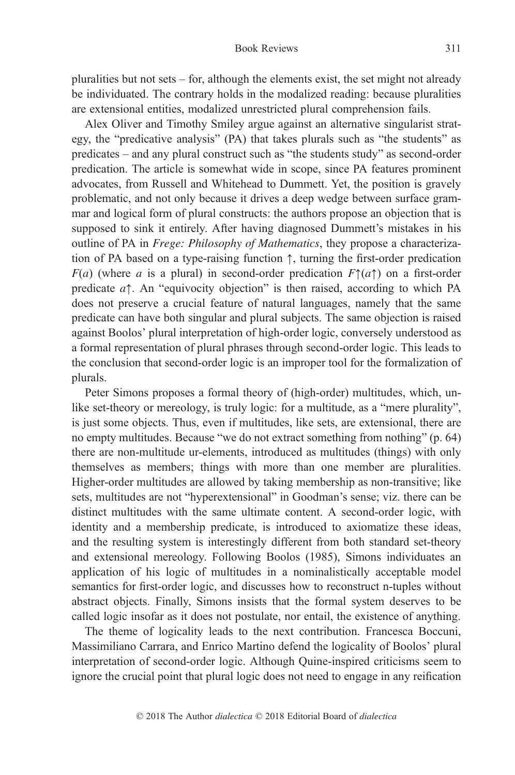pluralities but not sets – for, although the elements exist, the set might not already be individuated. The contrary holds in the modalized reading: because pluralities are extensional entities, modalized unrestricted plural comprehension fails.

Alex Oliver and Timothy Smiley argue against an alternative singularist strategy, the "predicative analysis" (PA) that takes plurals such as "the students" as predicates – and any plural construct such as "the students study" as second-order predication. The article is somewhat wide in scope, since PA features prominent advocates, from Russell and Whitehead to Dummett. Yet, the position is gravely problematic, and not only because it drives a deep wedge between surface grammar and logical form of plural constructs: the authors propose an objection that is supposed to sink it entirely. After having diagnosed Dummett's mistakes in his outline of PA in *Frege: Philosophy of Mathematics*, they propose a characterization of PA based on a type-raising function ↑, turning the first-order predication *F*(*a*) (where *a* is a plural) in second-order predication  $F \uparrow (a \uparrow)$  on a first-order predicate *a*↑. An "equivocity objection" is then raised, according to which PA does not preserve a crucial feature of natural languages, namely that the same predicate can have both singular and plural subjects. The same objection is raised against Boolos' plural interpretation of high-order logic, conversely understood as a formal representation of plural phrases through second-order logic. This leads to the conclusion that second-order logic is an improper tool for the formalization of plurals.

Peter Simons proposes a formal theory of (high-order) multitudes, which, unlike set-theory or mereology, is truly logic: for a multitude, as a "mere plurality", is just some objects. Thus, even if multitudes, like sets, are extensional, there are no empty multitudes. Because "we do not extract something from nothing" (p. 64) there are non-multitude ur-elements, introduced as multitudes (things) with only themselves as members; things with more than one member are pluralities. Higher-order multitudes are allowed by taking membership as non-transitive; like sets, multitudes are not "hyperextensional" in Goodman's sense; viz. there can be distinct multitudes with the same ultimate content. A second-order logic, with identity and a membership predicate, is introduced to axiomatize these ideas, and the resulting system is interestingly different from both standard set-theory and extensional mereology. Following Boolos (1985), Simons individuates an application of his logic of multitudes in a nominalistically acceptable model semantics for first-order logic, and discusses how to reconstruct n-tuples without abstract objects. Finally, Simons insists that the formal system deserves to be called logic insofar as it does not postulate, nor entail, the existence of anything.

The theme of logicality leads to the next contribution. Francesca Boccuni, Massimiliano Carrara, and Enrico Martino defend the logicality of Boolos' plural interpretation of second-order logic. Although Quine-inspired criticisms seem to ignore the crucial point that plural logic does not need to engage in any reification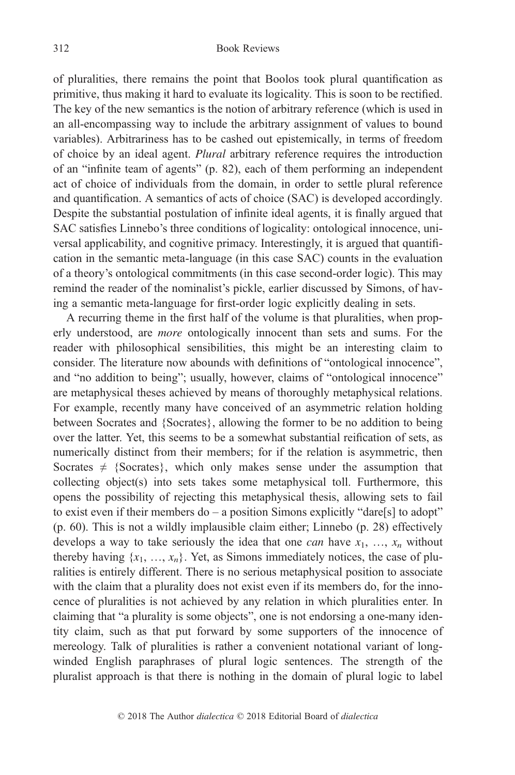of pluralities, there remains the point that Boolos took plural quantification as primitive, thus making it hard to evaluate its logicality. This is soon to be rectified. The key of the new semantics is the notion of arbitrary reference (which is used in an all-encompassing way to include the arbitrary assignment of values to bound variables). Arbitrariness has to be cashed out epistemically, in terms of freedom of choice by an ideal agent. *Plural* arbitrary reference requires the introduction of an "infinite team of agents" (p. 82), each of them performing an independent act of choice of individuals from the domain, in order to settle plural reference and quantification. A semantics of acts of choice (SAC) is developed accordingly. Despite the substantial postulation of infinite ideal agents, it is finally argued that SAC satisfies Linnebo's three conditions of logicality: ontological innocence, universal applicability, and cognitive primacy. Interestingly, it is argued that quantification in the semantic meta-language (in this case SAC) counts in the evaluation of a theory's ontological commitments (in this case second-order logic). This may remind the reader of the nominalist's pickle, earlier discussed by Simons, of having a semantic meta-language for first-order logic explicitly dealing in sets.

A recurring theme in the first half of the volume is that pluralities, when properly understood, are *more* ontologically innocent than sets and sums. For the reader with philosophical sensibilities, this might be an interesting claim to consider. The literature now abounds with definitions of "ontological innocence", and "no addition to being"; usually, however, claims of "ontological innocence" are metaphysical theses achieved by means of thoroughly metaphysical relations. For example, recently many have conceived of an asymmetric relation holding between Socrates and {Socrates}, allowing the former to be no addition to being over the latter. Yet, this seems to be a somewhat substantial reification of sets, as numerically distinct from their members; for if the relation is asymmetric, then Socrates  $\neq$  {Socrates}, which only makes sense under the assumption that collecting object(s) into sets takes some metaphysical toll. Furthermore, this opens the possibility of rejecting this metaphysical thesis, allowing sets to fail to exist even if their members do – a position Simons explicitly "dare[s] to adopt" (p. 60). This is not a wildly implausible claim either; Linnebo (p. 28) effectively develops a way to take seriously the idea that one *can* have  $x_1, \ldots, x_n$  without thereby having  $\{x_1, \ldots, x_n\}$ . Yet, as Simons immediately notices, the case of pluralities is entirely different. There is no serious metaphysical position to associate with the claim that a plurality does not exist even if its members do, for the innocence of pluralities is not achieved by any relation in which pluralities enter. In claiming that "a plurality is some objects", one is not endorsing a one-many identity claim, such as that put forward by some supporters of the innocence of mereology. Talk of pluralities is rather a convenient notational variant of longwinded English paraphrases of plural logic sentences. The strength of the pluralist approach is that there is nothing in the domain of plural logic to label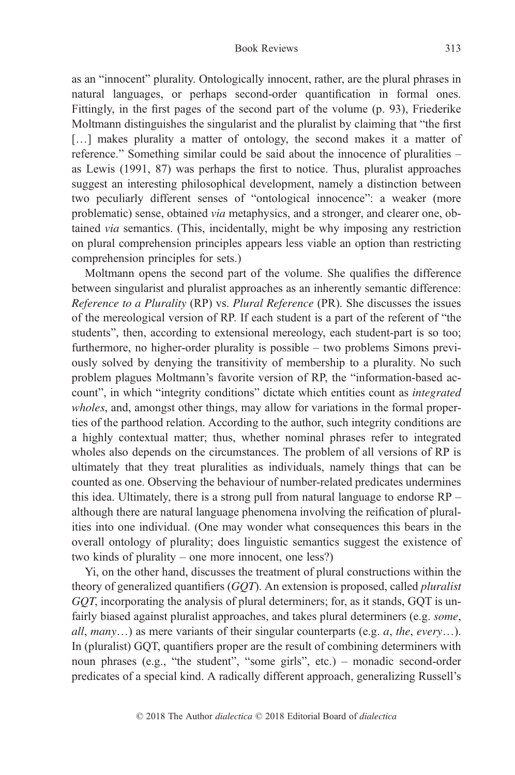as an "innocent" plurality. Ontologically innocent, rather, are the plural phrases in natural languages, or perhaps second-order quantification in formal ones. Fittingly, in the first pages of the second part of the volume (p. 93), Friederike Moltmann distinguishes the singularist and the pluralist by claiming that "the first [...] makes plurality a matter of ontology, the second makes it a matter of reference." Something similar could be said about the innocence of pluralities – as Lewis (1991, 87) was perhaps the first to notice. Thus, pluralist approaches suggest an interesting philosophical development, namely a distinction between two peculiarly different senses of "ontological innocence": a weaker (more problematic) sense, obtained *via* metaphysics, and a stronger, and clearer one, obtained *via* semantics. (This, incidentally, might be why imposing any restriction on plural comprehension principles appears less viable an option than restricting comprehension principles for sets.)

Moltmann opens the second part of the volume. She qualifies the difference between singularist and pluralist approaches as an inherently semantic difference: *Reference to a Plurality* (RP) vs. *Plural Reference* (PR). She discusses the issues of the mereological version of RP. If each student is a part of the referent of "the students", then, according to extensional mereology, each student-part is so too; furthermore, no higher-order plurality is possible – two problems Simons previously solved by denying the transitivity of membership to a plurality. No such problem plagues Moltmann's favorite version of RP, the "information-based account", in which "integrity conditions" dictate which entities count as *integrated wholes*, and, amongst other things, may allow for variations in the formal properties of the parthood relation. According to the author, such integrity conditions are a highly contextual matter; thus, whether nominal phrases refer to integrated wholes also depends on the circumstances. The problem of all versions of RP is ultimately that they treat pluralities as individuals, namely things that can be counted as one. Observing the behaviour of number-related predicates undermines this idea. Ultimately, there is a strong pull from natural language to endorse RP – although there are natural language phenomena involving the reification of pluralities into one individual. (One may wonder what consequences this bears in the overall ontology of plurality; does linguistic semantics suggest the existence of two kinds of plurality – one more innocent, one less?)

Yi, on the other hand, discusses the treatment of plural constructions within the theory of generalized quantifiers (*GQT*). An extension is proposed, called *pluralist GQT*, incorporating the analysis of plural determiners; for, as it stands, GQT is unfairly biased against pluralist approaches, and takes plural determiners (e.g. *some*, *all*, *many*…) as mere variants of their singular counterparts (e.g. *a*, *the*, *every*…). In (pluralist) GQT, quantifiers proper are the result of combining determiners with noun phrases (e.g., "the student", "some girls", etc.) – monadic second-order predicates of a special kind. A radically different approach, generalizing Russell's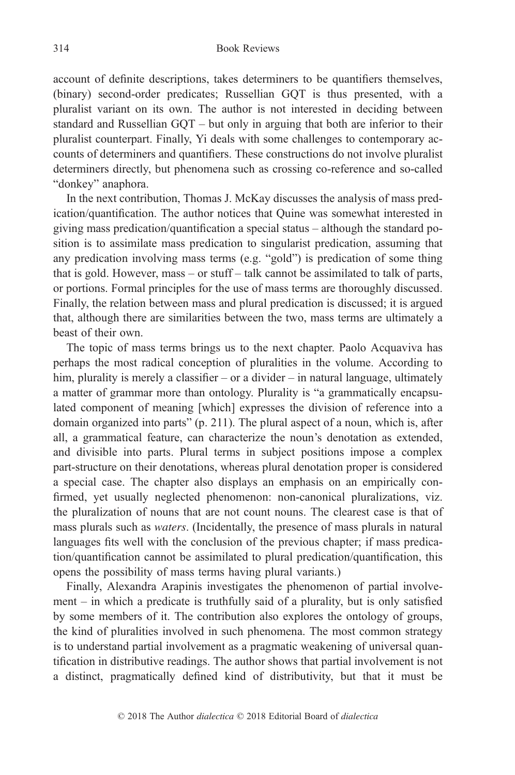account of definite descriptions, takes determiners to be quantifiers themselves, (binary) second-order predicates; Russellian GQT is thus presented, with a pluralist variant on its own. The author is not interested in deciding between standard and Russellian GQT – but only in arguing that both are inferior to their pluralist counterpart. Finally, Yi deals with some challenges to contemporary accounts of determiners and quantifiers. These constructions do not involve pluralist determiners directly, but phenomena such as crossing co-reference and so-called "donkey" anaphora.

In the next contribution, Thomas J. McKay discusses the analysis of mass predication/quantification. The author notices that Quine was somewhat interested in giving mass predication/quantification a special status – although the standard position is to assimilate mass predication to singularist predication, assuming that any predication involving mass terms (e.g. "gold") is predication of some thing that is gold. However, mass – or stuff – talk cannot be assimilated to talk of parts, or portions. Formal principles for the use of mass terms are thoroughly discussed. Finally, the relation between mass and plural predication is discussed; it is argued that, although there are similarities between the two, mass terms are ultimately a beast of their own.

The topic of mass terms brings us to the next chapter. Paolo Acquaviva has perhaps the most radical conception of pluralities in the volume. According to him, plurality is merely a classifier – or a divider – in natural language, ultimately a matter of grammar more than ontology. Plurality is "a grammatically encapsulated component of meaning [which] expresses the division of reference into a domain organized into parts" (p. 211). The plural aspect of a noun, which is, after all, a grammatical feature, can characterize the noun's denotation as extended, and divisible into parts. Plural terms in subject positions impose a complex part-structure on their denotations, whereas plural denotation proper is considered a special case. The chapter also displays an emphasis on an empirically confirmed, yet usually neglected phenomenon: non-canonical pluralizations, viz. the pluralization of nouns that are not count nouns. The clearest case is that of mass plurals such as *waters*. (Incidentally, the presence of mass plurals in natural languages fits well with the conclusion of the previous chapter; if mass predication/quantification cannot be assimilated to plural predication/quantification, this opens the possibility of mass terms having plural variants.)

Finally, Alexandra Arapinis investigates the phenomenon of partial involvement – in which a predicate is truthfully said of a plurality, but is only satisfied by some members of it. The contribution also explores the ontology of groups, the kind of pluralities involved in such phenomena. The most common strategy is to understand partial involvement as a pragmatic weakening of universal quantification in distributive readings. The author shows that partial involvement is not a distinct, pragmatically defined kind of distributivity, but that it must be